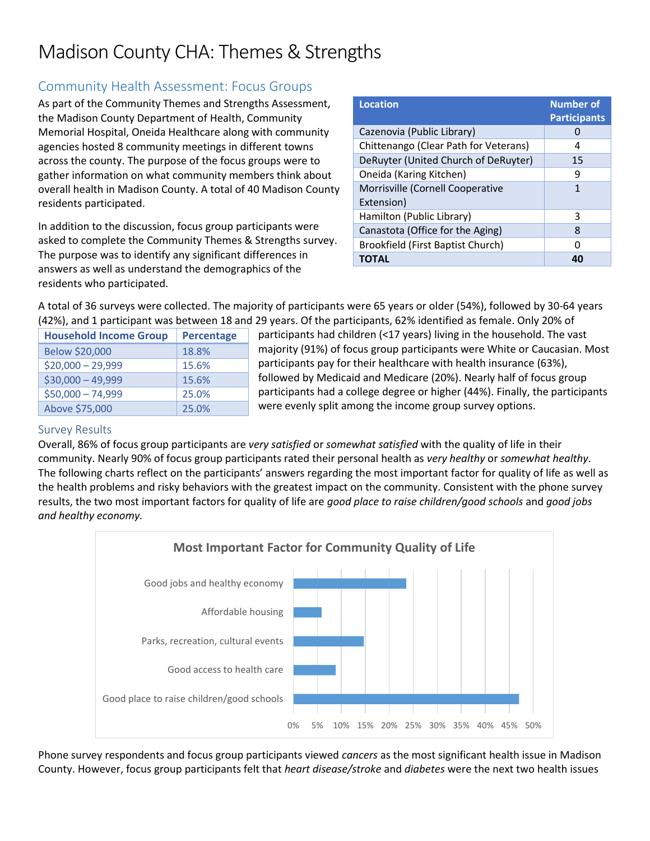# Madison County CHA: Themes & Strengths

# Community Health Assessment: Focus Groups

As part of the Community Themes and Strengths Assessment, the Madison County Department of Health, Community Memorial Hospital, Oneida Healthcare along with community agencies hosted 8 community meetings in different towns across the county. The purpose of the focus groups were to gather information on what community members think about overall health in Madison County. A total of 40 Madison County residents participated.

In addition to the discussion, focus group participants were asked to complete the Community Themes & Strengths survey. The purpose was to identify any significant differences in answers as well as understand the demographics of the residents who participated.

| <b>Location</b>                       | <b>Number of</b><br><b>Participants</b> |
|---------------------------------------|-----------------------------------------|
| Cazenovia (Public Library)            |                                         |
| Chittenango (Clear Path for Veterans) | 4                                       |
| DeRuyter (United Church of DeRuyter)  | 15                                      |
| Oneida (Karing Kitchen)               | 9                                       |
| Morrisville (Cornell Cooperative      | 1                                       |
| Extension)                            |                                         |
| Hamilton (Public Library)             | ξ                                       |
| Canastota (Office for the Aging)      | 8                                       |
| Brookfield (First Baptist Church)     | n                                       |
| <b>TOTAL</b>                          | 40                                      |

A total of 36 surveys were collected. The majority of participants were 65 years or older (54%), followed by 30-64 years (42%), and 1 participant was between 18 and 29 years. Of the participants, 62% identified as female. Only 20% of

| <b>Household Income Group</b> | <b>Percentage</b> |
|-------------------------------|-------------------|
| Below \$20,000                | 18.8%             |
| $$20,000 - 29,999$            | 15.6%             |
| $$30,000 - 49,999$            | 15.6%             |
| $$50,000 - 74,999$            | 25.0%             |
| Above \$75,000                | 25.0%             |

participants had children (<17 years) living in the household. The vast majority (91%) of focus group participants were White or Caucasian. Most participants pay for their healthcare with health insurance (63%), followed by Medicaid and Medicare (20%). Nearly half of focus group participants had a college degree or higher (44%). Finally, the participants were evenly split among the income group survey options.

## Survey Results

Overall, 86% of focus group participants are *very satisfied* or *somewhat satisfied* with the quality of life in their community. Nearly 90% of focus group participants rated their personal health as *very healthy* or *somewhat healthy*. The following charts reflect on the participants' answers regarding the most important factor for quality of life as well as the health problems and risky behaviors with the greatest impact on the community. Consistent with the phone survey results, the two most important factors for quality of life are *good place to raise children/good schools* and *good jobs and healthy economy.* 



Phone survey respondents and focus group participants viewed *cancers* as the most significant health issue in Madison County. However, focus group participants felt that *heart disease/stroke* and *diabetes* were the next two health issues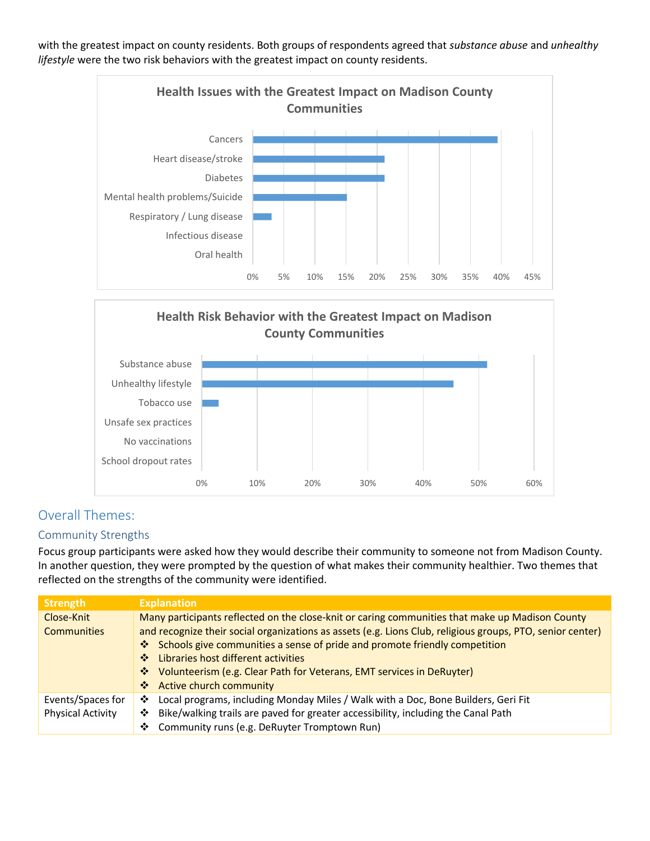with the greatest impact on county residents. Both groups of respondents agreed that *substance abuse* and *unhealthy lifestyle* were the two risk behaviors with the greatest impact on county residents.



**Health Risk Behavior with the Greatest Impact on Madison County Communities**



# Overall Themes:

### Community Strengths

Focus group participants were asked how they would describe their community to someone not from Madison County. In another question, they were prompted by the question of what makes their community healthier. Two themes that reflected on the strengths of the community were identified.

| <b>Strength</b>          | <b>Explanation</b>                                                                                         |
|--------------------------|------------------------------------------------------------------------------------------------------------|
| Close-Knit               | Many participants reflected on the close-knit or caring communities that make up Madison County            |
| <b>Communities</b>       | and recognize their social organizations as assets (e.g. Lions Club, religious groups, PTO, senior center) |
|                          | ❖ Schools give communities a sense of pride and promote friendly competition                               |
|                          | ❖ Libraries host different activities                                                                      |
|                          | Volunteerism (e.g. Clear Path for Veterans, EMT services in DeRuyter)<br>豪。                                |
|                          | ❖ Active church community                                                                                  |
| Events/Spaces for        | ❖ Local programs, including Monday Miles / Walk with a Doc, Bone Builders, Geri Fit                        |
| <b>Physical Activity</b> | Bike/walking trails are paved for greater accessibility, including the Canal Path<br>❖                     |
|                          | Community runs (e.g. DeRuyter Tromptown Run)<br>❖                                                          |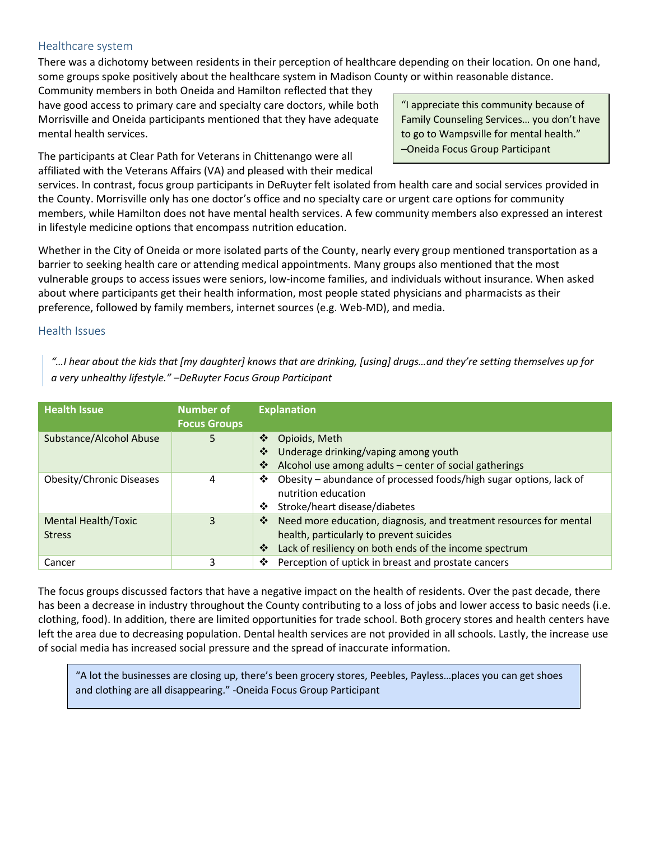#### Healthcare system

There was a dichotomy between residents in their perception of healthcare depending on their location. On one hand, some groups spoke positively about the healthcare system in Madison County or within reasonable distance.

Community members in both Oneida and Hamilton reflected that they have good access to primary care and specialty care doctors, while both Morrisville and Oneida participants mentioned that they have adequate mental health services.

The participants at Clear Path for Veterans in Chittenango were all affiliated with the Veterans Affairs (VA) and pleased with their medical

"I appreciate this community because of Family Counseling Services… you don't have to go to Wampsville for mental health." –Oneida Focus Group Participant

services. In contrast, focus group participants in DeRuyter felt isolated from health care and social services provided in the County. Morrisville only has one doctor's office and no specialty care or urgent care options for community members, while Hamilton does not have mental health services. A few community members also expressed an interest in lifestyle medicine options that encompass nutrition education.

Whether in the City of Oneida or more isolated parts of the County, nearly every group mentioned transportation as a barrier to seeking health care or attending medical appointments. Many groups also mentioned that the most vulnerable groups to access issues were seniors, low-income families, and individuals without insurance. When asked about where participants get their health information, most people stated physicians and pharmacists as their preference, followed by family members, internet sources (e.g. Web-MD), and media.

#### Health Issues

*"…I hear about the kids that [my daughter] knows that are drinking, [using] drugs…and they're setting themselves up for a very unhealthy lifestyle." –DeRuyter Focus Group Participant*

| <b>Health Issue</b>                         | <b>Number of</b><br><b>Focus Groups</b> | <b>Explanation</b>                                                                                                                                                                 |
|---------------------------------------------|-----------------------------------------|------------------------------------------------------------------------------------------------------------------------------------------------------------------------------------|
| Substance/Alcohol Abuse                     | 5                                       | Opioids, Meth<br>❖<br>Underage drinking/vaping among youth<br>❖<br>Alcohol use among adults - center of social gatherings<br>❖                                                     |
| <b>Obesity/Chronic Diseases</b>             | 4                                       | Obesity – abundance of processed foods/high sugar options, lack of<br>❖<br>nutrition education<br>Stroke/heart disease/diabetes<br>❖                                               |
| <b>Mental Health/Toxic</b><br><b>Stress</b> | 3                                       | Need more education, diagnosis, and treatment resources for mental<br>❖<br>health, particularly to prevent suicides<br>Lack of resiliency on both ends of the income spectrum<br>❖ |
| Cancer                                      | 3                                       | Perception of uptick in breast and prostate cancers<br>❖                                                                                                                           |

The focus groups discussed factors that have a negative impact on the health of residents. Over the past decade, there has been a decrease in industry throughout the County contributing to a loss of jobs and lower access to basic needs (i.e. clothing, food). In addition, there are limited opportunities for trade school. Both grocery stores and health centers have left the area due to decreasing population. Dental health services are not provided in all schools. Lastly, the increase use of social media has increased social pressure and the spread of inaccurate information.

"A lot the businesses are closing up, there's been grocery stores, Peebles, Payless…places you can get shoes and clothing are all disappearing." -Oneida Focus Group Participant